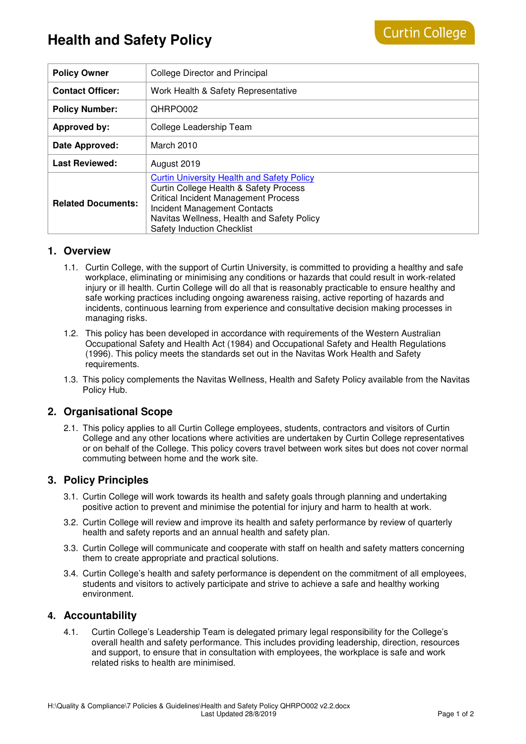## **Health and Safety Policy**

| <b>Policy Owner</b>       | <b>College Director and Principal</b>                                                                                                                                                                                                                         |
|---------------------------|---------------------------------------------------------------------------------------------------------------------------------------------------------------------------------------------------------------------------------------------------------------|
| <b>Contact Officer:</b>   | Work Health & Safety Representative                                                                                                                                                                                                                           |
| <b>Policy Number:</b>     | QHRPO002                                                                                                                                                                                                                                                      |
| Approved by:              | College Leadership Team                                                                                                                                                                                                                                       |
| Date Approved:            | March 2010                                                                                                                                                                                                                                                    |
| <b>Last Reviewed:</b>     | August 2019                                                                                                                                                                                                                                                   |
| <b>Related Documents:</b> | <b>Curtin University Health and Safety Policy</b><br>Curtin College Health & Safety Process<br><b>Critical Incident Management Process</b><br>Incident Management Contacts<br>Navitas Wellness, Health and Safety Policy<br><b>Safety Induction Checklist</b> |

#### **1. Overview**

- 1.1. Curtin College, with the support of Curtin University, is committed to providing a healthy and safe workplace, eliminating or minimising any conditions or hazards that could result in work-related injury or ill health. Curtin College will do all that is reasonably practicable to ensure healthy and safe working practices including ongoing awareness raising, active reporting of hazards and incidents, continuous learning from experience and consultative decision making processes in managing risks.
- 1.2. This policy has been developed in accordance with requirements of the Western Australian Occupational Safety and Health Act (1984) and Occupational Safety and Health Regulations (1996). This policy meets the standards set out in the Navitas Work Health and Safety requirements.
- 1.3. This policy complements the Navitas Wellness, Health and Safety Policy available from the Navitas Policy Hub.

### **2. Organisational Scope**

2.1. This policy applies to all Curtin College employees, students, contractors and visitors of Curtin College and any other locations where activities are undertaken by Curtin College representatives or on behalf of the College. This policy covers travel between work sites but does not cover normal commuting between home and the work site.

#### **3. Policy Principles**

- 3.1. Curtin College will work towards its health and safety goals through planning and undertaking positive action to prevent and minimise the potential for injury and harm to health at work.
- 3.2. Curtin College will review and improve its health and safety performance by review of quarterly health and safety reports and an annual health and safety plan.
- 3.3. Curtin College will communicate and cooperate with staff on health and safety matters concerning them to create appropriate and practical solutions.
- 3.4. Curtin College's health and safety performance is dependent on the commitment of all employees, students and visitors to actively participate and strive to achieve a safe and healthy working environment.

#### **4. Accountability**

4.1. Curtin College's Leadership Team is delegated primary legal responsibility for the College's overall health and safety performance. This includes providing leadership, direction, resources and support, to ensure that in consultation with employees, the workplace is safe and work related risks to health are minimised.